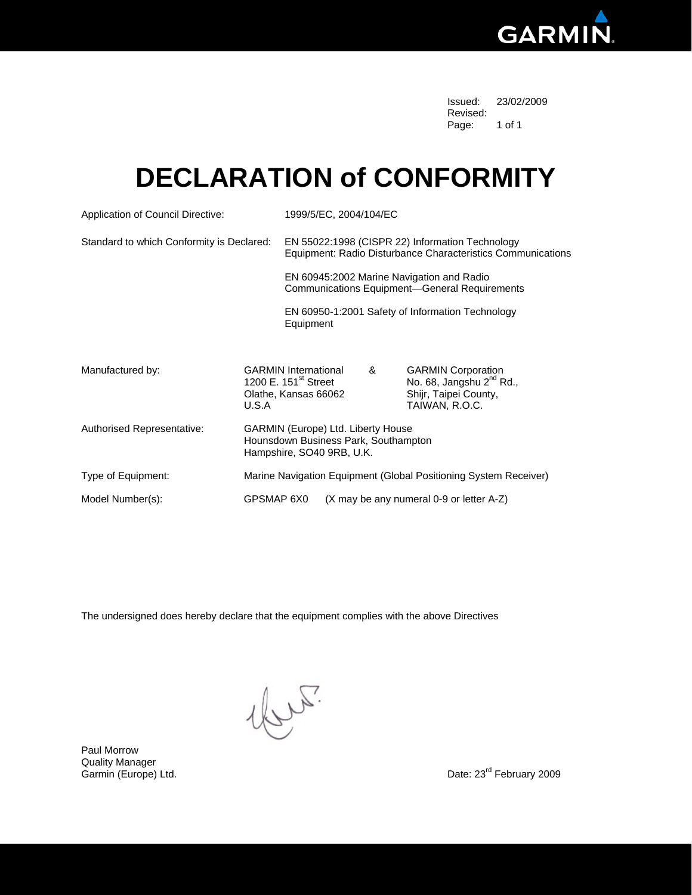

 Issued: 23/02/2009 Revised: The contract of the contract of the contract of the contract of the contract of the contract of the contract of the contract of the contract of the contract of the contract of the contract of the contract of the c Page: 1 of 1

#### **DECLARATION of CONFORMITY**

| Application of Council Directive:         |                                                                                                         | 1999/5/EC, 2004/104/EC                                                                                         |                                                                                                   |                                          |                                                                                                              |  |  |
|-------------------------------------------|---------------------------------------------------------------------------------------------------------|----------------------------------------------------------------------------------------------------------------|---------------------------------------------------------------------------------------------------|------------------------------------------|--------------------------------------------------------------------------------------------------------------|--|--|
| Standard to which Conformity is Declared: |                                                                                                         | EN 55022:1998 (CISPR 22) Information Technology<br>Equipment: Radio Disturbance Characteristics Communications |                                                                                                   |                                          |                                                                                                              |  |  |
|                                           |                                                                                                         |                                                                                                                | EN 60945:2002 Marine Navigation and Radio<br><b>Communications Equipment-General Requirements</b> |                                          |                                                                                                              |  |  |
|                                           |                                                                                                         | EN 60950-1:2001 Safety of Information Technology<br>Equipment                                                  |                                                                                                   |                                          |                                                                                                              |  |  |
|                                           |                                                                                                         |                                                                                                                |                                                                                                   |                                          |                                                                                                              |  |  |
| Manufactured by:                          | U.S.A                                                                                                   | <b>GARMIN International</b><br>1200 E. 151 <sup>st</sup> Street<br>Olathe, Kansas 66062                        |                                                                                                   | &                                        | <b>GARMIN Corporation</b><br>No. 68, Jangshu 2 <sup>nd</sup> Rd.,<br>Shijr, Taipei County,<br>TAIWAN, R.O.C. |  |  |
| Authorised Representative:                | GARMIN (Europe) Ltd. Liberty House<br>Hounsdown Business Park, Southampton<br>Hampshire, SO40 9RB, U.K. |                                                                                                                |                                                                                                   |                                          |                                                                                                              |  |  |
| Type of Equipment:                        | Marine Navigation Equipment (Global Positioning System Receiver)                                        |                                                                                                                |                                                                                                   |                                          |                                                                                                              |  |  |
| Model Number(s):                          | GPSMAP 6X0                                                                                              |                                                                                                                |                                                                                                   | (X may be any numeral 0-9 or letter A-Z) |                                                                                                              |  |  |

The undersigned does hereby declare that the equipment complies with the above Directives

1bre.

Paul Morrow Quality Manager<br>Garmin (Europe) Ltd.

Date: 23<sup>rd</sup> February 2009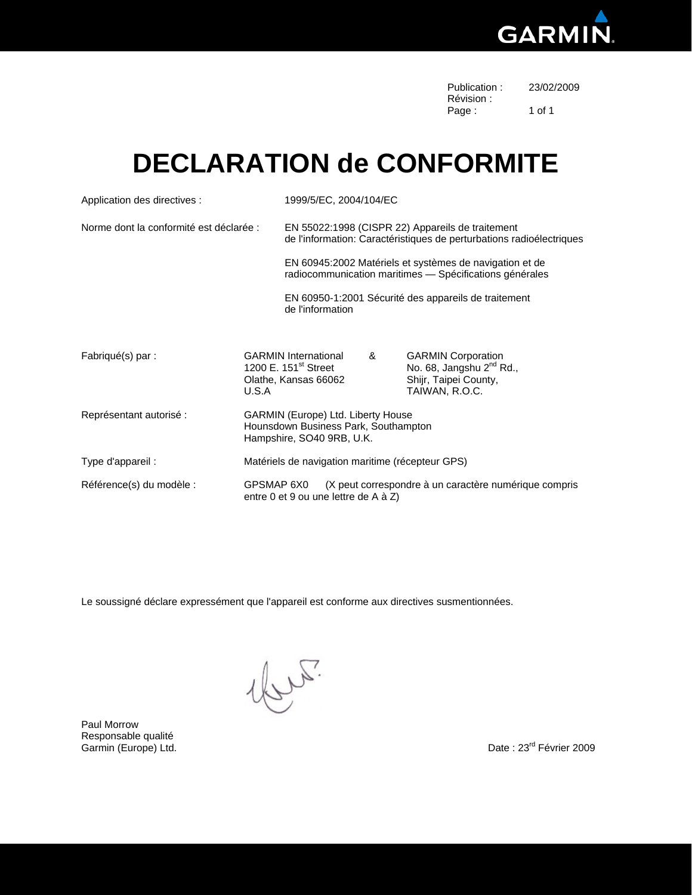

| Publication: | 23/02/2009 |
|--------------|------------|
| Révision :   |            |
| Page:        | 1 of 1     |

### **DECLARATION de CONFORMITE**

| Application des directives :            |                                                                                                  | 1999/5/EC, 2004/104/EC                                                                                                   |                                                                                               |   |                                                                                                              |  |  |
|-----------------------------------------|--------------------------------------------------------------------------------------------------|--------------------------------------------------------------------------------------------------------------------------|-----------------------------------------------------------------------------------------------|---|--------------------------------------------------------------------------------------------------------------|--|--|
| Norme dont la conformité est déclarée : |                                                                                                  | EN 55022:1998 (CISPR 22) Appareils de traitement<br>de l'information: Caractéristiques de perturbations radioélectriques |                                                                                               |   |                                                                                                              |  |  |
|                                         |                                                                                                  | EN 60945:2002 Matériels et systèmes de navigation et de<br>radiocommunication maritimes - Spécifications générales       |                                                                                               |   |                                                                                                              |  |  |
|                                         |                                                                                                  | EN 60950-1:2001 Sécurité des appareils de traitement<br>de l'information                                                 |                                                                                               |   |                                                                                                              |  |  |
| Fabriqué(s) par :                       | <b>GARMIN International</b><br>1200 E. 151 <sup>st</sup> Street<br>Olathe, Kansas 66062<br>U.S.A |                                                                                                                          |                                                                                               | & | <b>GARMIN Corporation</b><br>No. 68, Jangshu 2 <sup>nd</sup> Rd.,<br>Shijr, Taipei County,<br>TAIWAN, R.O.C. |  |  |
| Représentant autorisé :                 |                                                                                                  | GARMIN (Europe) Ltd. Liberty House<br>Hounsdown Business Park, Southampton<br>Hampshire, SO40 9RB, U.K.                  |                                                                                               |   |                                                                                                              |  |  |
| Type d'appareil :                       |                                                                                                  | Matériels de navigation maritime (récepteur GPS)                                                                         |                                                                                               |   |                                                                                                              |  |  |
| Référence(s) du modèle :                | GPSMAP 6X0                                                                                       |                                                                                                                          | (X peut correspondre à un caractère numérique compris<br>entre 0 et 9 ou une lettre de A à Z) |   |                                                                                                              |  |  |

Le soussigné déclare expressément que l'appareil est conforme aux directives susmentionnées.

lur.

Paul Morrow Responsable qualité Commin (Europe) Ltd. Comminguistic Comminguistic Comminguistic Comminguistic Comminguistic Comminguistic Commi<br>
Carmin (Europe) Ltd. Comminguistic Comminguistic Comminguistic Comminguistic Comminguistic Comminguistic Comm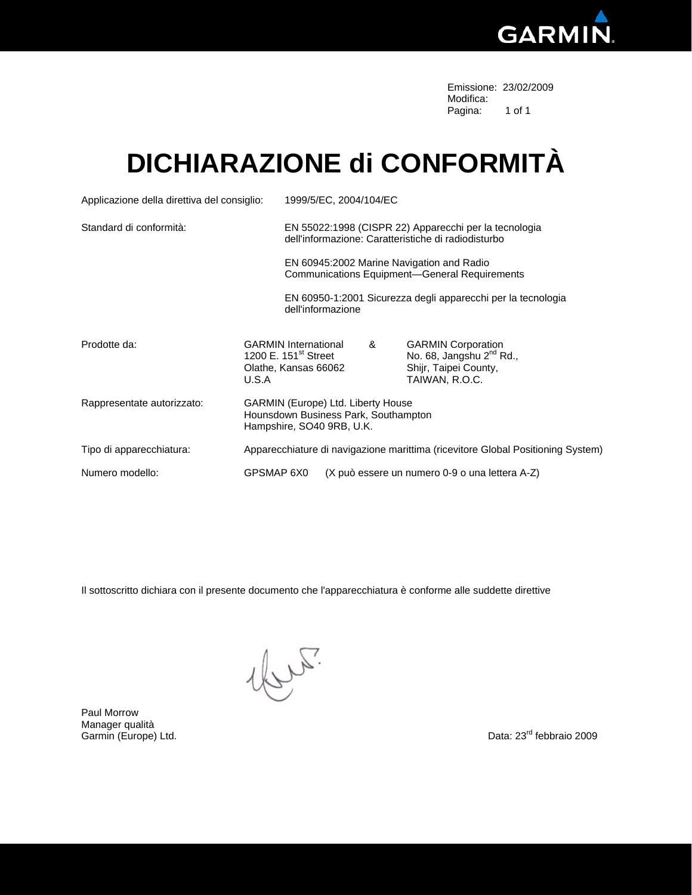

Emissione: 23/02/2009 Modifica: which is a state of the control of the control of the Modifica: Pagina: 1 of 1

## **DICHIARAZIONE di CONFORMITÀ**

| Applicazione della direttiva del consiglio: |                                                                                                         | 1999/5/EC, 2004/104/EC                                                                                       |   |                                                                                                              |  |  |  |
|---------------------------------------------|---------------------------------------------------------------------------------------------------------|--------------------------------------------------------------------------------------------------------------|---|--------------------------------------------------------------------------------------------------------------|--|--|--|
| Standard di conformità:                     |                                                                                                         | EN 55022:1998 (CISPR 22) Apparecchi per la tecnologia<br>dell'informazione: Caratteristiche di radiodisturbo |   |                                                                                                              |  |  |  |
|                                             |                                                                                                         | EN 60945:2002 Marine Navigation and Radio<br><b>Communications Equipment-General Requirements</b>            |   |                                                                                                              |  |  |  |
|                                             |                                                                                                         | dell'informazione                                                                                            |   | EN 60950-1:2001 Sicurezza degli apparecchi per la tecnologia                                                 |  |  |  |
| Prodotte da:                                | <b>GARMIN International</b><br>1200 E. 151 <sup>st</sup> Street<br>Olathe, Kansas 66062<br>U.S.A        |                                                                                                              | & | <b>GARMIN Corporation</b><br>No. 68, Jangshu 2 <sup>nd</sup> Rd.,<br>Shijr, Taipei County,<br>TAIWAN, R.O.C. |  |  |  |
| Rappresentate autorizzato:                  | GARMIN (Europe) Ltd. Liberty House<br>Hounsdown Business Park, Southampton<br>Hampshire, SO40 9RB, U.K. |                                                                                                              |   |                                                                                                              |  |  |  |
| Tipo di apparecchiatura:                    |                                                                                                         | Apparecchiature di navigazione marittima (ricevitore Global Positioning System)                              |   |                                                                                                              |  |  |  |
| Numero modello:                             | GPSMAP 6X0<br>(X può essere un numero 0-9 o una lettera A-Z)                                            |                                                                                                              |   |                                                                                                              |  |  |  |

Il sottoscritto dichiara con il presente documento che l'apparecchiatura è conforme alle suddette direttive

Ly 5.

Paul Morrow Manager qualità<br>Garmin (Europe) Ltd.

Data: 23<sup>rd</sup> febbraio 2009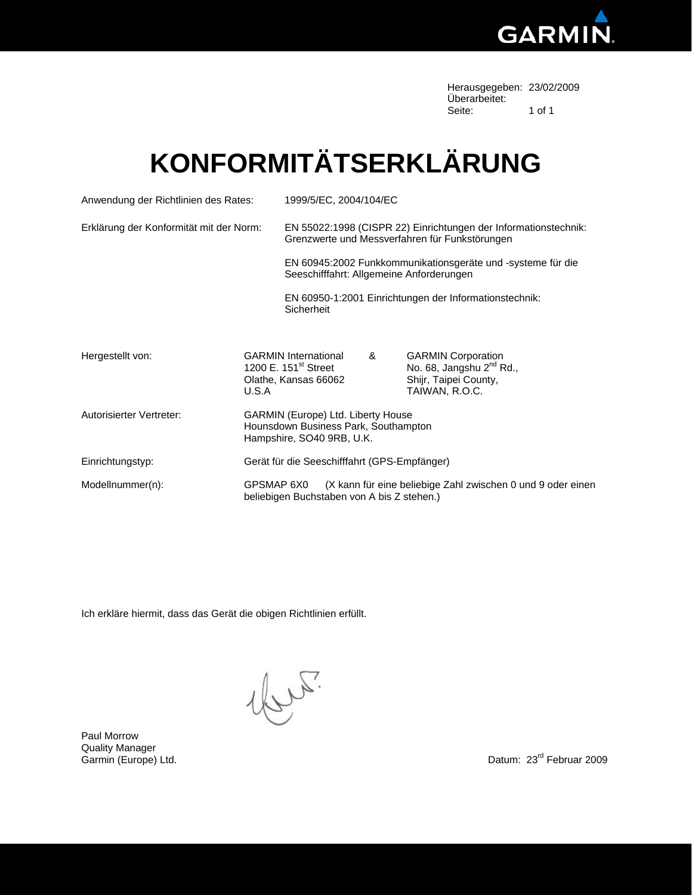

Herausgegeben: 23/02/2009 Überarbeitet:<br>Seite: Seite: 1 of 1

# **KONFORMITÄTSERKLÄRUNG**

| Anwendung der Richtlinien des Rates:    |       | 1999/5/EC, 2004/104/EC                                                                                                  |  |   |                                                                                                              |  |  |
|-----------------------------------------|-------|-------------------------------------------------------------------------------------------------------------------------|--|---|--------------------------------------------------------------------------------------------------------------|--|--|
| Erklärung der Konformität mit der Norm: |       | EN 55022:1998 (CISPR 22) Einrichtungen der Informationstechnik:<br>Grenzwerte und Messverfahren für Funkstörungen       |  |   |                                                                                                              |  |  |
|                                         |       | EN 60945:2002 Funkkommunikationsgeräte und -systeme für die<br>Seeschifffahrt: Allgemeine Anforderungen                 |  |   |                                                                                                              |  |  |
|                                         |       | EN 60950-1:2001 Einrichtungen der Informationstechnik:<br>Sicherheit                                                    |  |   |                                                                                                              |  |  |
| Hergestellt von:                        | U.S.A | <b>GARMIN International</b><br>1200 E. 151 <sup>st</sup> Street<br>Olathe, Kansas 66062                                 |  | & | <b>GARMIN Corporation</b><br>No. 68, Jangshu 2 <sup>nd</sup> Rd.,<br>Shijr, Taipei County,<br>TAIWAN, R.O.C. |  |  |
| Autorisierter Vertreter:                |       | GARMIN (Europe) Ltd. Liberty House<br>Hounsdown Business Park, Southampton<br>Hampshire, SO40 9RB, U.K.                 |  |   |                                                                                                              |  |  |
| Einrichtungstyp:                        |       | Gerät für die Seeschifffahrt (GPS-Empfänger)                                                                            |  |   |                                                                                                              |  |  |
| Modellnummer(n):                        |       | (X kann für eine beliebige Zahl zwischen 0 und 9 oder einen<br>GPSMAP 6X0<br>beliebigen Buchstaben von A bis Z stehen.) |  |   |                                                                                                              |  |  |

Ich erkläre hiermit, dass das Gerät die obigen Richtlinien erfüllt.

ly F.

Paul Morrow Quality Manager Garmin (Europe) Ltd.

Datum: 23<sup>rd</sup> Februar 2009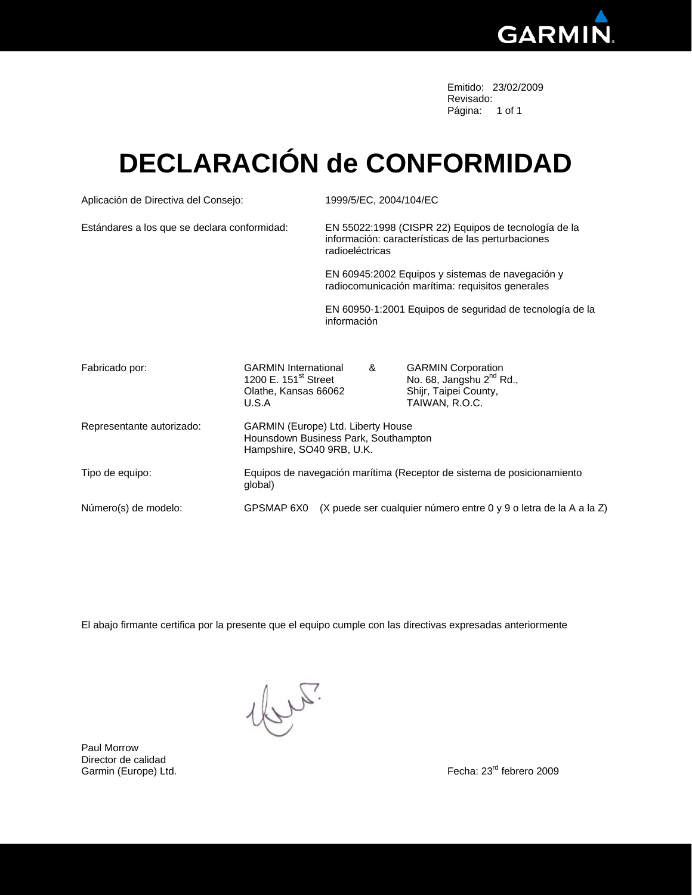

Emitido: 23/02/2009 Revisado: Página: 1 of 1

## **DECLARACIÓN de CONFORMIDAD**

| Aplicación de Directiva del Consejo:         |                                                                                                         | 1999/5/EC, 2004/104/EC                                                                                                        |   |                                                                                                              |  |  |
|----------------------------------------------|---------------------------------------------------------------------------------------------------------|-------------------------------------------------------------------------------------------------------------------------------|---|--------------------------------------------------------------------------------------------------------------|--|--|
| Estándares a los que se declara conformidad: |                                                                                                         | EN 55022:1998 (CISPR 22) Equipos de tecnología de la<br>información: características de las perturbaciones<br>radioeléctricas |   |                                                                                                              |  |  |
|                                              |                                                                                                         | EN 60945:2002 Equipos y sistemas de navegación y<br>radiocomunicación marítima: requisitos generales                          |   |                                                                                                              |  |  |
|                                              |                                                                                                         | EN 60950-1:2001 Equipos de seguridad de tecnología de la<br>información                                                       |   |                                                                                                              |  |  |
| Fabricado por:                               | <b>GARMIN</b> International<br>1200 E. 151 <sup>st</sup> Street<br>Olathe, Kansas 66062<br>U.S.A        |                                                                                                                               | & | <b>GARMIN Corporation</b><br>No. 68, Jangshu 2 <sup>nd</sup> Rd.,<br>Shijr, Taipei County,<br>TAIWAN, R.O.C. |  |  |
| Representante autorizado:                    | GARMIN (Europe) Ltd. Liberty House<br>Hounsdown Business Park, Southampton<br>Hampshire, SO40 9RB, U.K. |                                                                                                                               |   |                                                                                                              |  |  |
| Tipo de equipo:                              | Equipos de navegación marítima (Receptor de sistema de posicionamiento<br>global)                       |                                                                                                                               |   |                                                                                                              |  |  |
| Número(s) de modelo:                         | GPSMAP 6X0                                                                                              | (X puede ser cualquier número entre 0 y 9 o letra de la A a la Z)                                                             |   |                                                                                                              |  |  |

El abajo firmante certifica por la presente que el equipo cumple con las directivas expresadas anteriormente

llur.

Paul Morrow Director de calidad Garmin (Europe) Ltd.

Fecha: 23<sup>rd</sup> febrero 2009